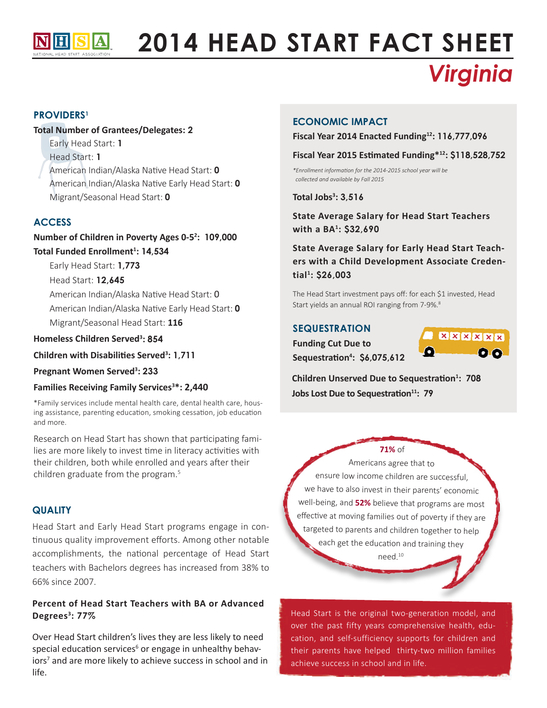

# **2014 HEAD START FACT SHEET** *Virginia*

## **PROVIDERS1**

## **Total Number of Grantees/Delegates: 2**

Early Head Start: **1**  Head Start: **1** American Indian/Alaska Native Head Start: **0** American Indian/Alaska Native Early Head Start: **0** Migrant/Seasonal Head Start: **0**

## **ACCESS**

**Number of Children in Poverty Ages 0-52 : 109,000 Total Funded Enrollment1 : 14,534**

Early Head Start: **1,773**

Head Start: **12,645**

American Indian/Alaska Native Head Start: 0 American Indian/Alaska Native Early Head Start: **0** Migrant/Seasonal Head Start: **116**

## **Homeless Children Served3 : 854**

**Children with Disabilities Served<sup>3</sup> : 1,711**

**Pregnant Women Served3 : 233**

## **Families Receiving Family Services3 \*: 2,440**

\*Family services include mental health care, dental health care, housing assistance, parenting education, smoking cessation, job education and more.

Research on Head Start has shown that participating families are more likely to invest time in literacy activities with their children, both while enrolled and years after their children graduate from the program.5

#### **Quality**

Head Start and Early Head Start programs engage in continuous quality improvement efforts. Among other notable accomplishments, the national percentage of Head Start teachers with Bachelors degrees has increased from 38% to 66% since 2007.

## **Percent of Head Start Teachers with BA or Advanced Degrees3 : 77%**

Over Head Start children's lives they are less likely to need special education services<sup>6</sup> or engage in unhealthy behaviors<sup>7</sup> and are more likely to achieve success in school and in life.

### **Economic Impact**

**Fiscal Year 2014 Enacted Funding12: 116,777,096**

#### **Fiscal Year 2015 Estimated Funding\*12: \$118,528,752**

*\*Enrollment information for the 2014-2015 school year will be collected and available by Fall 2015*

**Total Jobs3 : 3,516**

**State Average Salary for Head Start Teachers with a BA1 : \$32,690**

# **State Average Salary for Early Head Start Teachers with a Child Development Associate Credential1 : \$26,003**

The Head Start investment pays off: for each \$1 invested, Head Start yields an annual ROI ranging from 7-9%.<sup>8</sup>

### **Sequestration**

**Funding Cut Due to Sequestration<sup>4</sup> : \$6,075,612**



**Children Unserved Due to Sequestration<sup>1</sup> : 708 Jobs Lost Due to Sequestration11: 79**

## **71%** of

Americans agree that to ensure low income children are successful, we have to also invest in their parents' economic well-being, and **52%** believe that programs are most effective at moving families out of poverty if they are targeted to parents and children together to help each get the education and training they

need.<sup>10</sup>

Head Start is the original two-generation model, and over the past fifty years comprehensive health, education, and self-sufficiency supports for children and their parents have helped thirty-two million families achieve success in school and in life.